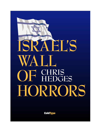# **ISRAEL'S WALL OF CHRIS HORRORS HEDGES**

**ColdType**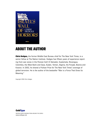

## **ABOUT THE AUTHOR**

**Chris Hedges,** the former Middle East Bureau chief for The New York Times, is a senior fellow at The Nation Institute. Hedges has fifteen years of experience reporting from war zones in the Persian Gulf, El Salvador, Guatemala, Nicaragua, Colombia, the West Bank and Gaza, Sudan, Yemen, Algeria, the Punjab, Bosnia and Kosovo. In 2002, he shared a Pulitzer Prize for The New York Times' coverage of global terrorism. He is the author of the bestseller "War is a Force That Gives Us Meaning."

Copyright 2006 Chris Hedges



WRITING WORTH READING FROM AROUND THE WORLD www.coldtype.net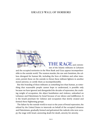

# **THE RAGE**and extrem-

ism of the Islamic militants in Lebanon

and the occupied territories in the West Bank and Gaza appear incomprehensible to the outside world. The wanton murder, the raw anti-Semitism, the callous disregard for human life, including the lives of children and other innocents, permit those on the outside to thrust these militant fighters in another moral universe, to certify them as incomprehensible.

But this branding of these militants as something less than human, as something that reasonable people cannot hope to understand, is possible only because we have ignored and disregarded the decades of repression, the crushing weight of occupation, the abject humiliation and violence, unleashed on Lebanese and Palestinians by Israel because of our silence and indifference. It is the Israeli penchant for violence and occupation that slowly created and formed these frightening groups.

The failure by the outside world to react to the years of brutal repression, the refusal by the United States to intercede on behalf of the occupied Lebanese and Palestinians, gradually formed and galvanized the radicals who now occupy the stage with Israel, answering death for death, atrocity for atrocity.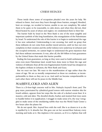Those inside these zones of occupation pleaded over the years for help. We refused to listen. And once they burst through these barriers, enraged, bloodied, bent on revenge, we recoiled in horror, unable to see our complicity. We asked them to be quiet, to be reasonable, to calm down, and when they did not, their blood heated by years of abuse and neglect, we condemned them to their fate

The barrier built by Israel in the West Bank is one of the most tangible and important symbols of this long humiliation, this strangulation of the Palestinians by Israel. To understand the role of this barrier is to begin to understand the rage it has now unleashed. Understanding is not excusing, but until we grasp that these militants do not come from another moral universe, until we face our own complicity in their creation and the awful violence now underway in Lebanon and the occupied territories, we cannot begin to understand the gross injustices that fuel these militant movements. It was, after all, the \$10 billion in loan guarantees by the United States that made this barrier possible.

Ending the loan guarantees, as long as they were used to build settlements and seize even more Palestinian land, would have done more to blunt the rage and violence of militants than all the iron fragmentation bombs Israel has dropped on the hapless civilians in Lebanon, the West Bank and Gaza.

But we react too late. We react to the manifestation of rage rather than the cause of rage. We are as morally compromised as those we condemn, as incomprehensible to them as they are to us. And until we become comprehensible to each other there will not be peace in the Middle East.

## **MASSIVE, COLD AND ALIEN**

There is a 25-foot-high concrete wall in Mrs. Nuhayla Auynaf's front yard. The gray mass, punctuated by cylindrical guard towers with narrow window slits for Israeli soldiers, appears from her steps like the side of a docked ocean liner. It is massive, cold and alien. The dwarfed shrubs, bushes and stunted fruit trees seem to huddle before it in supplication. I struggle to make sense of it, the way I struggled to make sense of the smoldering rubble that was the World Trade Center a few hours after the planes hit.

We do not speak. Mrs. Auynaf lives with the wall. She is as drawn to it as she is repelled by it. It absorbs her. She goes out on her second-floor balcony every morning and looks at it. She implores it for answers, as if it is a Sphinx that will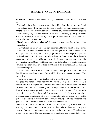answer the riddle of her new existence. "My old life ended with the wall," she tells me.

The wall, built by Israel a year before, blocked her from the neighboring Israeli town of Kfar Saba where she used to shop. It cut her off from Israel. It made it hard to reach the rest of the West Bank. The lone Israeli checkpoint with its guard towers, floodlights, concrete barriers, dust, stench, crowds, special pass cards, intrusive searches, rude remarks by border police were more than she could bear. She tried to pass through once.

"I could not stand the humiliation," she says. "I turned back. I went home. Now I never leave."

The wall reduces her world to its ugly perimeter. Her five boys beg to go to the seaside. The wall makes this impossible. No one goes to the sea anymore. There are days when the checkpoint is sealed, days after suicide bombings or days when the Israeli soldiers shut it down abruptly without explanation. On those days she sometimes gathers up her children and walks the empty streets, wandering like prisoners in a circle. Other families do the same. It gives her a sense of movement. Families pass each other two, three, four times in an afternoon. All are thinking the same thoughts.

"The town would rent buses to go to the sea," she says. "We would go for the day.We would stand in the water. We would look at the rocks and the waves. This was before."

The house is pleasant. It was finished at the start of the uprising, when business was good and peace seemed possible. The floors are marble. The kitchen has a counter and white appliances. The sofa and chairs have muted blue and beige stripped fabric. We sit in the living room. A large window fan, set on the floor in front of the open door, provides a weak breeze. The door frame is filled with the expressionless gray face of the wall. It draws our eyes to it, the way a muted television screen distracts me during conversations. Sometimes we turn to look at it, as if it is a presence in the room, someone who should be offered sweet tea or a glass or water or asked to leave. We want it to speak to us.

Her son Ibrahim, 6, sits on her lap. He has a scar on his leg. He was shot two years ago by Israeli soldiers. It happened at dusk. The soldiers were firing at a group of Palestinian workers who were trying to slip into or out of Israel without proper work permits. He was watching from the front yard when a bullet went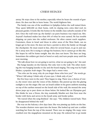astray. He stays close to his mother, especially when he hears the sounds of gunshots. He does not like to leave home. The world frightens him.

The family was one of the wealthiest in Qalqiliya before the wall ruined them. They spent \$200,000 on their home, with its sloping terra cotta tiled roof, its pleasant garden. It looks like the homes in the middle-class suburbs outside of Tel Aviv. Once the wall went up, the family's car parts business was wiped out. Mrs. Auynaf's husband makes less than 10% of what he once earned. He has trouble shipping car parts into the walled enclosure. He often cannot reach suppliers. Customers, those in Israel and those in other areas of the West Bank, can no longer get to his store. He does not have a permit to drive the family car through the checkpoint. He must stand in line, often for several hours, to go in and out. He is away now. He is trying to salvage his business, but it cannot go on like this. She hopes he will be home tonight. But she does not know. The lines are long. Sometimes the soldiers get tired or bored or surly and turn people away until the next morning.

"We talk about how we are going to survive, what we are going to do," she said. She hangs laundry on the balcony. Her only view is the wall. The other morning she was hanging laundry to dry and she heard singing. The song was by Fadel Shaker, a popular Arab singer. The singer had a sweet voice.

"You who are far away, why do you forget those who love you?" the words go. "When I fall asleep I think only of your eyes. I think only of you."

Her five boys were in the yard. They began to sing. There was a chorus of voices, the sweet voice and the voices of the children. She peered up into the glaring sunlight to see the singer. She saw an Israeli soldier in his green uniform standing on top of the earthen mound on the Israeli side of the wall, the mound the army drives jeeps up to peer down on those below. He looked like an Olympian god. She thinks he was a Druze, the tiny, nominally Muslim sect that lives near the border with Syria and serves in the Israeli army and border police.

"He waved when the song finished," she says. "The children waved back. Then he disappeared behind the wall."

She was on the balcony a few days later. She was pinning up cloths on the line. The wooden shutters were open into the house. She looked up and saw a soldier watching her from the top of the mound. There was no singing. His raspy voice crackled over the megaphone mounted on the jeep. He ordered her to go inside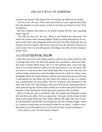and close the shutters. She obeyed. Her wet laundry lay behind in the basket.

"I live in a zoo," she says. "They come and watch me. I am a caged animal. They have the freedom to come and go, to look or not look, to be kind or cruel. I have no freedom."

She fears madness. She points to an elderly woman 200 feet away squatting under a fig tree.

"The wall was the end," she says. "When it was finished she went mad." We watch the woman. She is keening slightly. People are being destroyed by the serpent's teeth of the wall, springing up from the soil of the West Bank like the evil warriors sown by Cadmus. This for me is the story, not the amount of concrete or coils of razor wire or razed olive groves and villages, but what all this is doing to human souls.

## **A CATASTROPHIC BLOW**

I walk down the road to the elderly woman. I kneel in the shade beside her. She is missing many teeth. Her dirty hair, plaited and uncombed, is thick and white. Her name is Fatme Khalil al-Bas. She is 72. Her husband died a few years ago. Next to us are the shattered walls of an old stone house. It was her house. She was born in it and lived there until Israeli tanks blew it up in the 1967 war. She and her family continued to work the fields around the wreck of a home, never rebuilding. When the Israelis built the wall they seized her land. She was left with a small garden lot. Her fields, the ones where she worked as a girl, as a mother and a grandmother, are inaccessible. They are overgrown and untended on the other side of the wall. They belong to Israel now. She left her small apartment to sleep under the fig tree. She has built a shelter out of old boards placed across the branches. In the small patch of land she grows tomatoes and cucumbers.

Much of what she says is incoherent. She rails against her husband's second wife and than says softly, "He was a good man." She spits out the names of Ariel Sharon and George Bush and Yasir Arafat, hissing with anger. She vows to protect her little plot with her life, even though she says she is afraid at night, "afraid as a woman to sleep alone on the ground, afraid for my honor." I stand to leave. She looks at me with plaintive eyes. I turn and see Mrs. Auynaf watching us.

"I am a bird in a net," the old woman whispers.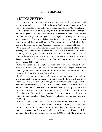## **A DYING GHETTO**

Qalqiliya is a ghetto. It is completely surrounded by the wall. There is one Israeli military checkpoint to let people into the West Bank or back home again. Only those with special Israeli-issued permits can go in and out of Qalqiliya. It is not the Lodz ghetto or the Warsaw ghetto, but it is a ghetto that would be recognizable to the Jews who were herded into walled enclaves by Pope IV in 1555 and stranded there for generations. Qalqiliya, like all ghettos, is dying. And it is being joined by dozens of other ringed ghettos as the serpentine barrier snaking its way through up and down two sides of the West Bank gobbles up Palestinian land and lays down nooses around Palestinian cities, towns, villages and fields.

Construction began on the barrier in 2002 with the purported intent of safeguarding Israel from suicide bombers and other types of attacks. Although it nominally runs along the 1949 Jordanian-Israeli armistice/Green Line that demarcates the boundary between Israel and the Palestinian-held West Bank, around 80 percent of the barrier actually cuts into Palestinian territories—at some points by as much as 20 kilometers.

If and when the barrier is completed, several years from now, it will see the West Bank cut up into three large enclaves and numerous small ringed ghettos. The three large enclaves will include in the south the Bethlehem/Hebron area and in the north the Jenin/Nablus and Ramallah areas.

B'tselem, a leading Israeli human rights organization that documents conditions in the occupied territories, recently estimated that the barrier will eventually stretch 703 miles around the West Bank, about 450 of which are already completed or under construction. (The Berlin Wall, for comparison, ran 96 miles.) B'tselem also estimates that 500,000 West Bank residents will be directly affected by the barrier (by virtue of residing in areas completely encircled by the wall; by virtue of residing west of the barrier and thus in de facto Israeli territory; or by virtue of residing in East Jerusalem, where Palestinians effectively cannot cross into West Jerusalem).

I stand on Qalqiliya's main street. There is little traffic. Shop after shop is shuttered and closed. The heavy metal doors are secured to the ground with thick padlocks. There are signs in Hebrew and Arabic, fading reminders of a time when commerce was possible. There were, before the wall was built, 42,000 people living here. Mayor Maa'rouf Zahran says at least 6,000 have left. Many more, with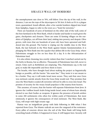the unemployment rate close to 70%, will follow. Over the tip of the wall, in the distance, I can see the tops of the skyscrapers in Tel Aviv. It feels as if it is a plague town, quarantined. Israeli officials, after a few suicide bombers slipped into Israel from Qalqiliya, began to refer to the town as a "hotel for terrorists."

There are hundreds of acres of farmland on the other side of the wall, some of the best farmland in the West Bank, which is harder and harder to reach given the gates, checkpoints and closures. There are some 32 farming villages on the outskirts of Qalqiliya, cut off from their land, sinking into poverty and despair. Olive groves, with trees that are hundreds of years old, have been uprooted and bulldozed into the ground. The barrier is wiping out the middle class in the West Bank, the last bulwark in the West Bank against Islamic fundamentalism. It is plunging the West Bank into the squalor that defines life in the Gaza Strip, where Palestinians struggle to live on less than \$2 a day. It is the Africanization of Palestinian land.

It is also ethnic cleansing, less overtly violent than that I watched carried out by the Serbs in Bosnia, but as effective. Thousands of Palestinians have left, never to return. Cities such as Bethlehem are emptying. This, Palestinians say, is the real goal, to make life impossible and force them to leave.

The Israelis, who have thought hard about making the project as linguistically benign as possible, call the barrier "the seam line." They insist it is not meant to be a border. They say it will make Israel more secure. They said that once Gaza was enclosed, suicide attacks from the Gaza Strip would end. They promise that once the West Bank is sealed off, terrorists will not be able to cross into Israel. The promise of security for the weary Israeli populace is like manna from heaven.

This assumes, of course, that the barrier will separate Palestinians from Jews. It ignores the 1 million Israeli Arabs living inside Israel, some of whom have already elected to use their bodies as weapons. It ignores the presence of Jewish settlers in some 200 settlements who often live within yards of Palestinians. But most ominously, it ignores the consequences of total enclosure. The West Bank, like Gaza, will erupt with high-octane rage.

Hamas was an insignificant group with little following in 1988 when I first reported from Gaza. The Islamic radicals are now the vanguard of the resistance. Every pillar of concrete driven into the soil of the West Bank will bring forth screeching bands of killers. It happened in Gaza. It will happen here. Security will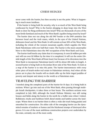never come with the barrier, but then security is not the point. What is happening is much more insidious.

If the barrier is being built for security, why is so much of the West Bank being confiscated by Israel? Why is the barrier plunging in deep loops into the West Bank to draw far-flung settlements into Israel? Why are thousands of acres of the most fertile farmland and much of the West Bank's aquifers being seized by Israel?

The barrier does not run along the old 1967 border or the 1949 armistice line between Israel and the Arab states, which, in the eyes of the United Nations, delineates Israel and the West Bank. It will contain at least 50% of the West Bank, including the whole of the western mountain aquifer, which supplies the West Bank Palestinians with over half their water. The barrier is the most catastrophic blow to the Palestinians since the 1967 occupation of the West Bank and Gaza.

The barrier itself mocks any claim that it is temporary. It costs \$1 million per mile and will run over \$2 billion by the time it is completed. It will cut the entire 224 mile length of the West Bank off from Israel, but because of its diversions into the West Bank to incorporate Palestinian land it will be about 400 miles in length. A second barrier is being built on the Jordan River side of the West Bank. To look at a map of the barrier is to miss the point. The barrier interconnects with every other piece of Israeli-stolen real estate in Palestinian territory. And when all the pieces are in place the Israelis will no doubt offer up the little ringed puddles of poverty and despair and misery to the world as a Palestinian state.

## **TRAVELING THE BARRIER**

I traveled along the completed parts of the barrier for 10 days. It is being built in sections. When I go into and out of the West Bank, often passing through multiple Israeli checkpoints, it takes three or four hours. The northern sections were completed in July 2003, although the Israeli Defense Ministry was still razing houses and fields along the barrier in the north for a buffer zone when I visited. Bulldozers, trucks and backhoes belch diesel smoke and lumber across the landscape. Where there is no barrier there is often a wide dirt track being graded and smoothed for construction. On either side of the emerging barrier are the dynamited remains of markets or homes and the blackened stumps of destroyed olive groves. It is one of the most ambitious construction projects ever undertaken by the state, certainly one of the most costly.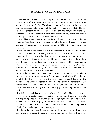The small town of Mas'ha lies in the path of the barrier. It has been in decline since the start of the uprising three years ago when Israel blocked the road leading from the town to Tel Aviv. The closure ended the businesses of the dozens of fruit and vegetable sellers who lined the road with shops and markets. The closure trapped most Palestinians inside the West Bank and because of this the barrier for Israelis is an abstraction. It does not slice through any Israeli land. It does not change Israeli life. It only solidifies the status quo.

The Baddya Market on either side of the small asphalt road is empty, the tinroofed sheds and warehouses that once had piles of fruits and vegetables for sale abandoned. The town's population has fallen from 7,000 to 2,000 since the closure of the road.

I stand on top of one of the two dirt mounds that block the road to Tel Aviv. There is an army base on a hilltop in front of me. There is an electric fence that runs around a settlement a hundred yards up the road on my left. Two green Israeli army jeeps lie parked at an angle blocking the road a few feet beyond the second mound. The two dirt mounds and strip of empty road between them are filled with old cardboard boxes, broken bottles, empty wooden vegetable crates, cans, plastic Coke bottles, tires, shredded remnants of plastic bags, a broken chair and the twisted remains of a child's stroller.

A young boy is loading three cardboard boxes into a shopping cart. An elderly woman, standing on the mound a few feet from me, is helping him. When the cart is full the boy begins to push it to the other mound about 50 feet away. The woman follows. When they get to the other side he lifts out the boxes for her. She drops a silver shekel in his hand for payment. He goes back to the other mound to wait. He does this all day. It is the only way goods move up and down this road.

I walk into a small shed where a man is seated at a table. The shelves around him are bare. He has two boxes of tomatoes in front of him. There are cold drinks in a large refrigerated case with glass doors. A single light bulb hangs from a wire, casting a soft hue over the gray stubble on his face. Fat, languid flies buzz nosily. It is the only sound I hear. I ask him if he will speak to me. There is a long silence.

"Why?" he finally says. "It won't do any good."

I walk up the road, over the two mounds, and turn left to go up through the opening in a post fence with loops of barbed wire. A rainbow flag flies from a post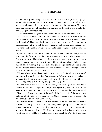planted in the ground along the fence. The dirt in the yard is pitted and gouged with tread marks from heavy earth-moving equipment. I hear the squelch, grunts and guttural moans of engines at work. I cannot see the machinery. The sky is clear, that searing crystal-like clearness that makes the light of the Middle East unforgiving and overpowering.

There are tarps in the yard in front of the house. Under the tarps are a collection of dirty mattresses and foam pads. Piled around the mattresses are backpacks, some with tickets from European airlines. A blue backpack has a tag with the letters SAS. There are plastic water coolers under the tarp. There are plastic cups scattered on the ground. Several young men and women, many in baggy cotton pants and sandals, lounge on the mattresses speaking quietly. Some are asleep.

I go to the door of the house. Munira Ibrahim Amer, who lives there, takes me upstairs to the flat roof where laundry is hanging and there is a large water tank. The heat on the roof is withering. I edge my way under a narrow eave to capture some shade. A young woman with short blond hair and glasses holds a video camera. She is wearing a green T-shirt and green cargo pants. She has a small pouch strapped around her waist. She says her name is Maria. She says she does not want to give me her last name.

"Thousands of us have been denied entry visas by the Israelis at the airport," she says with what I suspect is a German accent. "Many of us who get picked up are deported. If I give you my name I will be on their blacklist. They will not let me in. They will put a 'No Entry' stamp in my passport."

She has been in and out of Palestine, she says, for over a year. She was one of the first internationals to get into the Jenin refugee camp after the Israeli attack against armed militants that left scores dead and sections of the camp destroyed.

"I could not breathe because of the smell of the dead bodies," she says. "I saw children collect body parts of their parents. None of us could eat. It was terrible. And the world stood by and did nothing."

She was an Islamic studies major. She speaks Arabic. She became involved in protests in Italy against the occupation. She joined a group called International Women's Peace Service, which sends activists to protest the construction of what it terms "the apartheid wall." She lives in a house with other activists in the Palestinian village of Haras. She has been in and out of the West Bank and Gaza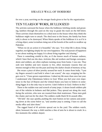for over a year, surviving on the meager funds given to her by the organization.

## **TEN YEARS OF WORK, BULLDOZED**

The activists surround the house when the bulldozer, belching smoke and groaning, lumbers through the yard on the way to grade the track on the hill below. Three activists chain themselves to a shed next to the house when they think the bulldozer might turn to attack. The shed next to the house, the family has been told, is about to be destroyed. When Maria speaks of the bulldozer it is as if it is a living object, some Leviathan rising out of the bowels of the earth to swallow up Palestine.

"When we do an action it is beautiful," she says. "It is what life is about, living together, not fighting simply for our own happiness. The real pursuit of happiness is not about making me happy. It is about living together and sharing."

There is something wistful in this, as if she knows much of human sadness, which I later find out she does. Activists, like aid workers and foreign correspondents and soldiers, are often orphans running away from home. I was one. They seek new families and new reasons to live, often messianic reasons that are intense enough to blot out the past and keep the darker clouds of memory at bay.

She wears a piece of silver jewelry around her neck. It comes from India. "I put my fingers around it and hold it when I am scared," she says, wrapping her fingers over it. "I have grown superstitious. I risked my life more than once last year. I understand why Palestinians believe in God. When you feel your own impotence in the face of Sharon and the United States you have to believe in something bigger. It is the only way to survive. I don't believe in God. I believe in this."

There is the sudden roar and screech of army jeeps. A dozen Israeli soldiers pile out of the vehicles in helmets and flak jackets. They spread out along the road, facing the activists, who now are rousted from their mattresses. Three men grab the chains and run for the shed. The soldiers cradle black M-16 assault rifles.

"Oh hell," she says quickly, pushing the start button on her camera and pointing down at the scene below us, "and another jeep is coming. I have to call the media office and alert them."

The ragged band of 45 activists spread out in the yard. The soldiers watch, silent, bemused, the way a child watches a line of ants he is about to crush. In a few moments the soldiers depart.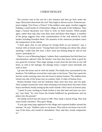The activists wait in the sun for a few minutes and then go back under the tarps. Maria joins them from the roof. They begin to discuss tactics. Someone proposes singing "Give Peace a Chance" if the soldiers come again. Another suggests building a small model of a Palestinian village in the path of the bulldozer. They begin a heated discussion over what to write on their banners. When people agree, rather than clap, they raise their arms and flutter their fingers. A member of the group suggests they write condemnations of the wall uttered by world leaders including President Bush. The mention of the American president raises the temperature of the debate.

"I don't agree that we put phrases by George Bush on our banners," says a woman with an Israeli accent. "George Bush don't fucking care about this, about anything. I really hate this man. I don't want any fucking thing he said on any action I participate in."

There is a sea of fluttering fingers. I admire their commitment but find them too sanctimonious, infected with the fanatic's zeal that they know what is good for you, good for everyone. Their anger springs, in part, from the fact that no one will listen, as well as the damage, the damage many I suspect nurse internally and wish to heal.

I go into the house and sit with the family. The family lives surrounded by the madness. The bulldozer severed the water pipe to the house. They have spent the last few weeks carrying water into the house in plastic buckets. The children have turned one side of the house into an outdoor toilet. It sinks of human feces.

Munira Ibrahim Amer and her husband, Hani, have four boys and two girls. They scamper around the room, often shouting to be heard above the noise of the heavy machinery busily tearing up the earth outside.I feel I am in an Ionesco play.

"I spent 10 years working in Saudi Arabia to buy this land and start our nursery," says Hani. "In a few hours the Israelis bulldozed my greenhouses and my plants into the ground."

The family moved into the house in 1981. They made a decent living. They had many Israeli customers. They grew things.

"A year ago army jeeps appeared in the village and scattered leaflets around the mosque," he says. "Soldiers came to our house. They told us our house was in the way of the fence and would be demolished. They said they would compensate us."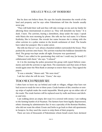But he does not believe them. He says the Israelis determine the worth of the land and property and he says other Palestinians tell him the Israelis usually never pay.

"They will build their wall and they will take revenge on me and my family for allowing these internationals to protect us. They will demolish my home." It is dusk. I leave. The activists, fearing a demolition, sleep under the tarps. I speak with Maria the next morning by phone. She tells me her real name. It is Maren Karlitzky. She is German. She reveals her name because she is sitting with the other activists in a police station in the Jewish settlement of Ariel. The Israelis have taken her passport. She is under arrest.

She tells me that at 7 a.m. about a hundred soldiers surrounded the house. They pushed the activists onto buses. The activists watched the bulldozer demolish the shed. The group was kept awake all night. Everyone was questioned.

"When I was called in for questioning they told me I could stay [in Israel] if I collaborated with them," she says. "I refused."

At 4 in the morning the police presented the group with typed Hebrew statements and told the activists to sign them. The statements said that none of them would again enter the West Bank or attempt to renew their visas. They signed the papers.

"It was a mistake," Maren said. "We were tired."

I ask her what she will do next. "Guess," she says.

## **TOO MUCH PRESSURE**

I often have to leave my car behind and walk to villages, villages that have not had access to roads for two or three years. Crude barriers of dirt, trenches or tornup strips of asphalt make the roads impassible. Weeds grow up on either side of the roads. The crude barriers will be replaced soon by walls and fences and ditches and wire.

I am walking down an empty dirt road. It is covered with stones. I am walking to the farming hamlet of al-Nuaman. The farmers have been legally dispossessed, ethnic cleansing by administrative fiat. It was a specialty of the Bosnian Muslims, who did not want the ethnic Croats and Serbs to go back to their old apartments in Sarajevo. So they used the courts to strip them of their property.

There are tens of thousands of Palestinians whom Israeli courts have declared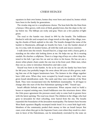squatters in their own homes, homes they were born and raised in, homes which have been in the family for generations.

The cicadas sing out in a cacophonous chorus. The heat feels like the blast from a furnace. Olive groves, with rows of thick, gnarled trees, line the slope to the valley below me. The hilltops are rocky and gray. There are a few patches of light green.

The road to the hamlet was closed in 1995 by the Israelis. The bulldozers blocked it with dirt and scooped out a huge trench at the edge of the village, tossing the chunks of black asphalt to the side. The Israelis changed the name of the hamlet to Mazmouria, although no Israelis live here. I see the hamlet ahead of me. It is tiny, with 26 modest homes, all with flat roofs and stucco exteriors.

I walk down into the trench. Youssif Dara'wi, a large man with a heavy girth, is standing on the other side looking down at me. He helps me up. He is wearing sandals. He clutches a cellphone. There is a large ring of keys on a silver clasp fastened to his belt. I get into his car and we drive to his house. He has set out a dozen white plastic chairs under the one tree in his front yard. Older men, when they see us, come to introduce themselves and take a seat.

Youssif was born in the hamlet. As far as he can tell, his family has been here for 180 years, but probably longer. He owns about 100 acres of olive groves, making him one of the largest landowners here. The farmers in the village together have 1,000 acres. When they were occupied by Israeli troops in 1967 they were given Israeli identification cards. The cards said they were residents of the West Bank. They were incorporated into the Bethlehem municipality. "It all began to change after the start of the first Palestinian uprising in 1987," Youssif says.

Israeli officials forbade any new construction. When anyone tried to build a house or expand existing ones, Israeli bulldozers tore the structures down. After the Oslo peace agreement the pressure eased, only to come back in greater force with the latest uprising. The road was closed. The children in the village, who had gone to Jerusalem for their schooling, were barred from the city. The Israelis expanded the boundaries of the Jerusalem municipality. The farmers have become West Bank squatters illegally encamped inside Israel. It is a neat little legal trick. Members of the community pooled their money to hire an Israeli lawyer. But cases, even when they get to the Supreme Court, even when they result in a decision in favor of the Palestinians, can be immediately overruled by the state on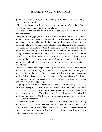grounds of national security. National security, as in my own country, is the god that is destroying us all.

"I am not allowed to be here or to meet you according to Israeli law," Youssif says. "I am not allowed to be on my own land."

The water to the hamlet was cut three years ago. Water comes now from wells and water trucks.

He pulls out a topographical map. It is marked with colored zones and colored lines to indicate settlements, the barrier under construction around Jerusalem, the land that has been confiscated, the land that will be confiscated and the new demarcation lines for the hamlet. The blue line, he explains, is the new boundary for Jerusalem. The hamlet is within the boundary. The yellow line is the barrier, which when we look up we can see being built down the hill in front of a new hilltop settlement with several hundred concrete apartment blocks. He traces his thick finger around the roads, the settlements and the barrier to show how the hamlet will be encircled, how he and his neighbors will soon lose nearly all their land and live illegally in a ghetto with no running water. I have seen this now many times.

Most Palestinians carry maps. They keep them tucked into their shirt pockets and pull them out at the slightest provocation. They spread them on the ground and chart for you the course of their own demise. It happens so often it gets boring, but I always listen and nod and pretend the information is new. The ritual is repeated over and over and seems to be part of the struggle to cope with the scale and horror of what is happening.

A group of Israeli soldiers appeared in the hamlet four months ago. They said Israel was willing to compensate farmers whose homes had been built before 1992. They told the farmer to submit compensation forms. The army would determine the price to be paid. The other homes, they said, would be demolished. If any home was built after 1992 the family would receive nothing. None of the farmers filed for compensation.

Then the physical harassment began. Soldiers arrived early one morning in July and roused six farmers from their beds and drove them to a nearby military outpost. They were told they would be released when they signed papers saying they would not enter Israeli territory. The farmers signed the papers. They spent the rest of the night walking home.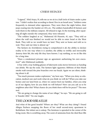"I signed," Abid Ataya, 55, tells me as we sit in a half circle of chairs under a pine tree. "I didn't realize that according to them I live in an Israeli area." Soldiers come frequently to demand other signatures. They were there the night before, their jeeps roaring into the hamlet at 2:30 a.m.. The soldiers handcuffed 20 farmers and took them to the military outpost. All refused to sign. In the morning, after squatting all night outside the compound, they were released.

"The soldiers laughed at us," Mahmoud Ali Hussein, 43, says. "They told us when the wall was finished we would not be able to enter Israel or the West Bank. They told us we would have no land. They sent us home and told us to wait. They said our time is almost up."

The farmers sit, bewildered, trying to comprehend it all, the ability to declare reality to be one way when it is another, the ability to swiftly and irrevocably destroy their life, the only life they have known. I say nothing, so we sit like this for a long time.

"Does a condemned prisoner sign an agreement authorizing his own execution?" asks Mahmoud suddenly.

A boy with a tray holding glasses of lukewarm soda moves between us handing out drinks. We sip the soda. The farmers light cigarettes. Ribbons of thin bluish smoke waft toward the pine branches over our heads. Again we are silent, thinking about it all.

"Too much pressure makes explosions," my host says. "When you deny us education, medical care and work what do you think we will do? When you take our homes and our land from us, when we cannot feed our families, when you strip us of our dignity, how do you think we will behave? How can you ask us to be neighbors after this? What chance do you think there will be for peace?" The men nod.

"We are going to change the name of our village," he says. "We are going to call it Transfer 2004." No one laughs.

## **THE GOOD ISRAELIS**

And what of the good Israelis? Where are they? What are they doing? I found Allegra Pacheco mopping the floors of her small second-story apartment in Bethlehem. Her infant son is asleep. The furniture is upended in the corner of the living room. She is scrubbing away. The scent of ammonia from the tiled floor fills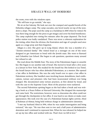the room, even with the windows open.

"We will have to go outside," she says.

We sit on her balcony. We look out over the cramped and squalid hovels of the Deheisha refugee camp. The camp cascades, one hovel nearly on top of the next, down a slope. The pope used the camp as a backdrop in 2000 when he visited. He was there long enough for the press to get images and cover his kind beneficence. The camp exploded into rioting five minutes after the pope departed. The local police station was badly vandalized. There was never a coherent explanation for the rioting, other than the obvious, the frustration and rage of a people used once again as a stage prop and then forgotten.

Allegra is a Jew. She grew up in Long Island, where she was a member of a "Zionist-oriented family." She visited Israel as a teenager on one of the tours designed to get Americans to bond with the Jewish state. She went to Barnard and Columbia Law School. She began to ask questions, questions many around her refused to ask.

She read about the Middle East. The story of the Palestinians began to unsettle her. She began to see another side of Israel. She moved to Israel after a few years as a lawyer in New York. She studied for the Israeli bar. She looked to Lea Tsmel, the Israeli lawyer who has often defended Palestinians, as a mentor. She opened a law office in Bethlehem. She was the only Israeli ever to open a law office in Palestinian territory. She handled cases involving house demolitions, land confiscations, torture and prisoners who had been incarcerated without ever being charged. She documented some torture practices, at first denied by Israel, and took the case to the Supreme Court. Most of the practices were outlawed.

The second Palestinian uprising began as she had taken a break and was writing a book as a Peace Fellow at Harvard University. She dropped the manuscript and came back. The restrictions, however, were so draconian she often could not get through the checkpoints to her office. It was hard to see clients or make court appearances. She took over the case of a Palestinian human rights activist, Abed al-Rahman al-Ahmar, being held without charge in administrative detention.

"I met my husband Abed in 1996, when he was under interrogation and being tortured," she says. "He was then sent to two and a half years of administrative detention and I continued to represent him. When he was released, he helped me set up my law office and worked with me. That's how we fell in love."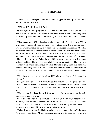They married. They spent their honeymoon trapped in their apartment under almost continuous curfew.

## **TWENTY TO A TENT**

She was eight months pregnant when Abed was arrested for the 13th time. He was sent to Ofra prison. The prisoners live 20 to a tent in the desert. They sleep on wooden pallets. The tents are sweltering in the summer and cold in the winter.

"Abed sleeps under 10 blankets in the winter," she said. "There is no heat." There is an open sewer nearby and swarms of mosquitoes. He is being held on secret evidence, which means he has not been told the charges against him. Abed has never been sentenced. His six-month military detention order had been extended for another six months in June. It too was done in secret. It can be renewed indefinitely. Amnesty International has adopted him as a prisoner of conscience.

His health is precarious. When he was 16 he was arrested for throwing stones at Israeli soldiers. He was tied to a chair in contorted positions. His back and stomach were under tremendous pressure. He was in great pain. His head was covered with a bag soaked in urine. Allegra has sued the army for the torture he underwent in 1996. He was also tortured on three other occasions while in detention.

"They have told him he will be released if [we] drop the lawsuit," she says. "He will not."

She gave birth to their first child, Quds, the Arabic name for Jerusalem, this spring. Abed has never seen his son. When Allegra asked for the address of the prison to mail her husband pictures of their child she was told there was no address.

"My husband has been banned from Jerusalem for 20 years, so we brought Jerusalem to us," she says.

She is an Israeli citizen, but because her husband is Palestinian, because of his ethnicity, he is refused citizenship. She was born in Long Island. He was born here. This is how it works in Israel. Israel is a democracy only for Jews. If she had married a Jew he would have a passport and citizenship.

"What democratic state builds its laws based on a person's ethnicity?" she asks. "The goal of the South African apartheid regime was to separate whites and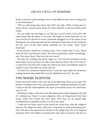blacks to preserve white privilege. How is this different from what is being done to the Palestinians?"

"Who is really being shut out by this wall?" she adds. "Who is being shut in? Israel will be a closed society when the wall is finished. It will even further shun reality."

Her son wakes up and begins to cry. She gets up and walks to his room. She comes back with the infant in her arms. She begins to breast-feed him. As she coos over her son she lets me read a notebook smuggled out of the prison. It has drawings by one of the prisoners for her child Quds with stories by her husband. On the cover of the ruled school notebook are the words "Quds Smart Notebook."

In one picture a small boy is feeding a bird. "This is Quds' bird," it says. "Quds feeds the bird. The bird loves Quds. The birds are playing in Quds' beautiful garden. They know Quds. They love him very much."

She slips her wedding ring off her finger so I can read the inscription on the band inside. It has two letter A's with a heart between them. The word "forever" is etched into the band. She cradles the child in her arms and whispers words of comfort to him. She looks up, weary and sad.

"In Israel, I'm considered radical because I advocate equal rights for all persons residing between the Jordan River and the Mediterranean Sea," she says.

## **THE NOOSE TIGHTENS**

It does not matter where I turn. I see the noose tightening. There is no escape. The barrier is closing in from every side, grinding and crushing everything in its path. I begin to feel the claustrophobia, the sense of inevitable doom, the awful fatalness of it all.

Palestinians cling to what they have like shipwrecked sailors clinging to the hull of a sinking boat. There is a mass migration. They are being forced from their homes. Some have moved into their fields. They have set up squalid little encampments in vegetable patches. It is their last stand.

I walk over the heavy earth on the Israeli side of the fence from the village of Jayyous. The village has some 2,200 acres, along with six wells and pumping stations. The fence has separated the farmers in the village from 73% of its irrigated farmland. About 300 families are losing their only source of income. My feet are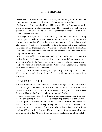covered with dirt. I see across the fields the sparks shooting up from numerous campfires. I hear voices, the idle chatter of children, women and men.

Suffian Youssef, 30, stands beside an old blue truck. His two brothers, his mother and his father are with him. It is nearly dark. They have set up a small tarp and a crude shack. It is where they sleep. There is a brass coffee pot on the brazier over the fire. I smell wood smoke.

"We began to sleep in our fields a month ago," he said. "We fear that if they close the gate we will not be able to get to our crop. We are having trouble getting our crop to market. We took the crates of potatoes up to the gate in the truck a few days ago. The Border Police told us to take the crates off the truck and load them back on the truck four times. When we took them off for the fourth time they dumped the potatoes on the ground and crushed them with their boots. They beat us with their rifle butts."

Crickets chirp softly. I see a half moon poking through the haze in the sky. The roadblocks and checkpoints mean that farmers cannot get their produce to urban areas in the West Bank. There are now Israeli suppliers, who can use the settler roads, who have taken over these markets. Prices, because vegetables are bottled up in agricultural areas, have plummeted.

"We may not have enough money next year to plant a crop," Youssef says. When I leave it is night. I stumble out of the fields. I know they will not be here next year.

## **TASTE OF DEATH**

It is late afternoon at Gate Number 542 in the farming village of Zita, north of Tulkarm. A sign on the electric fence that runs along the dirt track for as far as the eye can see reads: "Danger. Military Area. Anyone crossing or touching the fence does so at his own risk." It is in Hebrew, Arabic and English.

The iron gates are painted yellow. There are motion sensors and television cameras mounted along the fence. There is a smooth strip of sand to detect unauthorized footprints. There is a dirt service road. There is a trench about seven feet deep to stop vehicles from crashing through the barrier. There is a paved road for the army jeeps. There are coils of razor wire. The land on either side of the barrier, about 100 feet wide, is desolate. Blackened stumps from uprooted olive trees poke up from the dirt. All living things on or near the barrier have been killed. It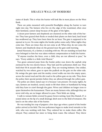tastes of death. This is what the barrier will look like in most places on the West Bank.

There are poles mounted with powerful floodlights along the barrier to turn night into day. The farmers who live on the edge of the wasteland, often once their farmland, cannot sleep because of the glare of the lights.

A dozen poor farmers and shepherds are clustered on the other side of the barrier. They have grazed their flocks or tended their plants on their land, land Israel has swallowed up. They have been there for an hour. The gate is supposed to be opened at 6 p.m. On some nights the border police come early. Other nights they come late. There are times they do not come at all. When they do not come the farmers and shepherds sleep on the ground near the gate until morning.

Jamal Hassouna, 43, a farmer, is standing with me. We are standing on land that once belonged to him but was taken without compensation to build the barrier.

"If anyone touches the fence, even a child, they are not allowed to pass," he says. "Every soldier is a little Ariel Sharon."

Two green armored jeeps from the border police roar down the asphalt strip enclosed by the two electric fences. They halt and five policemen climb out. They hold their M-16 assault rifles at an angle. They are wearing helmets. One soldier, watched by two others, goes to open the padlock on the gate on the other side. He swings the gate open and the motley crowd walks out into the empty space, across the tarred road and the dirt road to the yellow gate on my side. They show the police their special permits before they are allowed through the yellow gate.

The police are silent. Jamal says it is because I am present. On many nights, he says, farmers are insulted, cursed, made to lift their shirts or humiliated by being told they have to crawl through the gates. Wives and children no longer cross to spare themselves the harassment. There are many farmers who, although they are never told why, are no longer allowed to pass. Their fields are dying.

I walk to tomato fields covered by gauzy brown netting. Iyad Abu Hamdi, 27, is seated alone on the lip of a small drainage ditch next to the field of tomatoes. His land is on the other side of the barrier.

He was tending his crop of peppers a few days ago when a patrol of the border police arrived at his field. The two policemen began to make lewd remarks to his wife, who was working with him. They ordered her to make them coffee. She obeyed. They ordered her sister to bring them water. She refused. They threw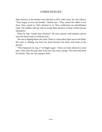their thermos at his brother and told him to fill it with water. He also refused. "They began to beat my brother," Hamdi says. "They tossed the coffee in our faces. They cursed us. They shouted at us. They confiscated our identification cards. The soldiers told my wife to accept their advances or they would ruin her reputation."

When he says "accept their advances" his voice quivers with emotion and he turns his head away to avoid my eyes.

The sun is dipping below the earth. There is a dim yellow glow across the fields. His voice is shaking. He bows his head between his knees and looks at the ground.

"This happened on Aug. 3," he begins again. "I have not been allowed to cross since. They slam the gate shut in my face. My crop is dying." The tears roll down his cheeks. They too are serpent's teeth.